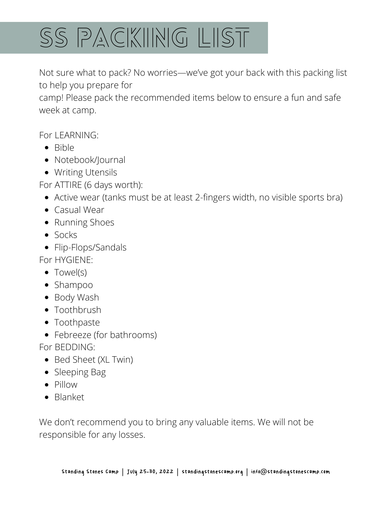

Not sure what to pack? No worries—we've got your back with this packing list to help you prepare for

camp! Please pack the recommended items below to ensure a fun and safe week at camp.

For LEARNING:

- $\bullet$  Bible
- Notebook/Journal
- Writing Utensils

For ATTIRE (6 days worth):

- Active wear (tanks must be at least 2-fingers width, no visible sports bra)
- Casual Wear
- Running Shoes
- Socks
- Flip-Flops/Sandals

For HYGIENE:

- Towel(s)
- Shampoo
- Body Wash
- Toothbrush
- Toothpaste
- Febreeze (for bathrooms)

For BEDDING:

- Bed Sheet (XL Twin)
- Sleeping Bag
- Pillow
- Blanket

We don't recommend you to bring any valuable items. We will not be responsible for any losses.